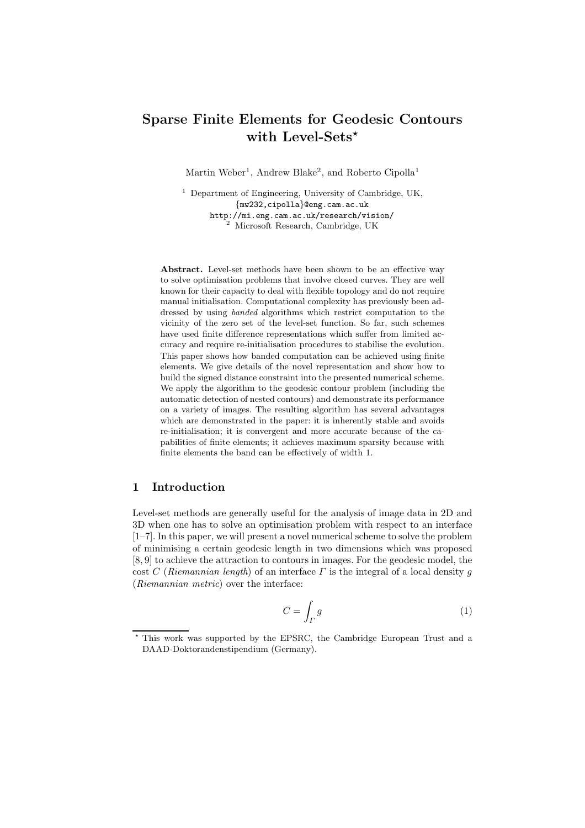# Sparse Finite Elements for Geodesic Contours with Level-Sets\*

Martin Weber<sup>1</sup>, Andrew Blake<sup>2</sup>, and Roberto Cipolla<sup>1</sup>

<sup>1</sup> Department of Engineering, University of Cambridge, UK, {mw232,cipolla}@eng.cam.ac.uk http://mi.eng.cam.ac.uk/research/vision/ <sup>2</sup> Microsoft Research, Cambridge, UK

Abstract. Level-set methods have been shown to be an effective way to solve optimisation problems that involve closed curves. They are well known for their capacity to deal with flexible topology and do not require manual initialisation. Computational complexity has previously been addressed by using banded algorithms which restrict computation to the vicinity of the zero set of the level-set function. So far, such schemes have used finite difference representations which suffer from limited accuracy and require re-initialisation procedures to stabilise the evolution. This paper shows how banded computation can be achieved using finite elements. We give details of the novel representation and show how to build the signed distance constraint into the presented numerical scheme. We apply the algorithm to the geodesic contour problem (including the automatic detection of nested contours) and demonstrate its performance on a variety of images. The resulting algorithm has several advantages which are demonstrated in the paper: it is inherently stable and avoids re-initialisation; it is convergent and more accurate because of the capabilities of finite elements; it achieves maximum sparsity because with finite elements the band can be effectively of width 1.

# 1 Introduction

Level-set methods are generally useful for the analysis of image data in 2D and 3D when one has to solve an optimisation problem with respect to an interface [1–7]. In this paper, we will present a novel numerical scheme to solve the problem of minimising a certain geodesic length in two dimensions which was proposed [8, 9] to achieve the attraction to contours in images. For the geodesic model, the cost C (Riemannian length) of an interface  $\Gamma$  is the integral of a local density g (Riemannian metric) over the interface:

$$
C = \int_{\Gamma} g \tag{1}
$$

<sup>?</sup> This work was supported by the EPSRC, the Cambridge European Trust and a DAAD-Doktorandenstipendium (Germany).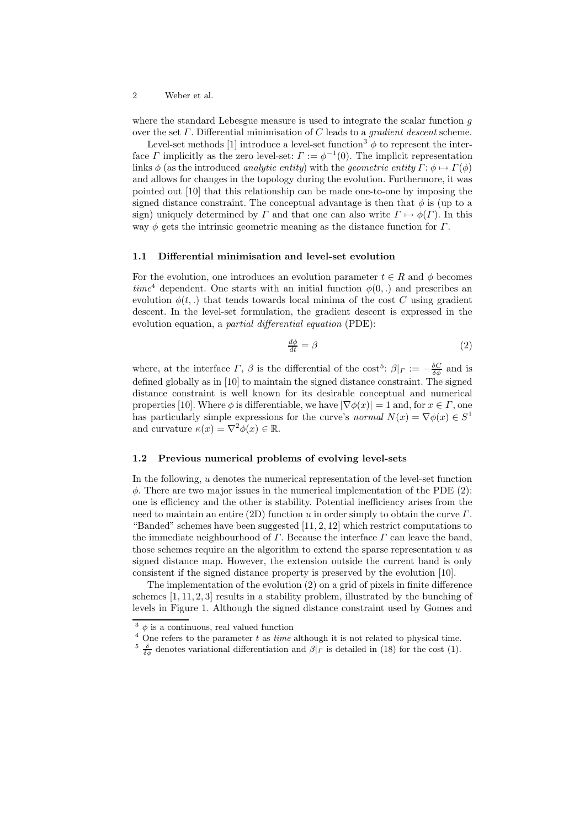where the standard Lebesgue measure is used to integrate the scalar function g over the set  $\Gamma$ . Differential minimisation of  $C$  leads to a *gradient descent* scheme.

Level-set methods [1] introduce a level-set function<sup>3</sup>  $\phi$  to represent the interface  $\Gamma$  implicitly as the zero level-set:  $\Gamma := \phi^{-1}(0)$ . The implicit representation links  $\phi$  (as the introduced *analytic entity*) with the *geometric entity*  $\Gamma: \phi \mapsto \Gamma(\phi)$ and allows for changes in the topology during the evolution. Furthermore, it was pointed out [10] that this relationship can be made one-to-one by imposing the signed distance constraint. The conceptual advantage is then that  $\phi$  is (up to a sign) uniquely determined by Γ and that one can also write  $\Gamma \mapsto \phi(\Gamma)$ . In this way  $\phi$  gets the intrinsic geometric meaning as the distance function for  $\Gamma$ .

### 1.1 Differential minimisation and level-set evolution

For the evolution, one introduces an evolution parameter  $t \in R$  and  $\phi$  becomes  $time^4$  dependent. One starts with an initial function  $\phi(0,.)$  and prescribes an evolution  $\phi(t,.)$  that tends towards local minima of the cost C using gradient descent. In the level-set formulation, the gradient descent is expressed in the evolution equation, a *partial differential equation* (PDE):

$$
\frac{d\phi}{dt} = \beta \tag{2}
$$

where, at the interface  $\Gamma$ ,  $\beta$  is the differential of the cost<sup>5</sup>:  $\beta|_{\Gamma} := -\frac{\delta C}{\delta \phi}$  and is defined globally as in [10] to maintain the signed distance constraint. The signed distance constraint is well known for its desirable conceptual and numerical properties [10]. Where  $\phi$  is differentiable, we have  $|\nabla \phi(x)| = 1$  and, for  $x \in \Gamma$ , one has particularly simple expressions for the curve's normal  $N(x) = \nabla \phi(x) \in S^1$ and curvature  $\kappa(x) = \nabla^2 \phi(x) \in \mathbb{R}$ .

### 1.2 Previous numerical problems of evolving level-sets

In the following, u denotes the numerical representation of the level-set function  $\phi$ . There are two major issues in the numerical implementation of the PDE (2): one is efficiency and the other is stability. Potential inefficiency arises from the need to maintain an entire (2D) function u in order simply to obtain the curve  $\Gamma$ . "Banded" schemes have been suggested  $[11, 2, 12]$  which restrict computations to the immediate neighbourhood of  $\Gamma$ . Because the interface  $\Gamma$  can leave the band, those schemes require an the algorithm to extend the sparse representation  $u$  as signed distance map. However, the extension outside the current band is only consistent if the signed distance property is preserved by the evolution [10].

The implementation of the evolution (2) on a grid of pixels in finite difference schemes [1, 11, 2, 3] results in a stability problem, illustrated by the bunching of levels in Figure 1. Although the signed distance constraint used by Gomes and

 $3\phi$  is a continuous, real valued function

 $^4$  One refers to the parameter  $t$  as  $\it time$  although it is not related to physical time.

<sup>&</sup>lt;sup>5</sup>  $\frac{\delta}{\delta \phi}$  denotes variational differentiation and  $\beta|_{\Gamma}$  is detailed in (18) for the cost (1).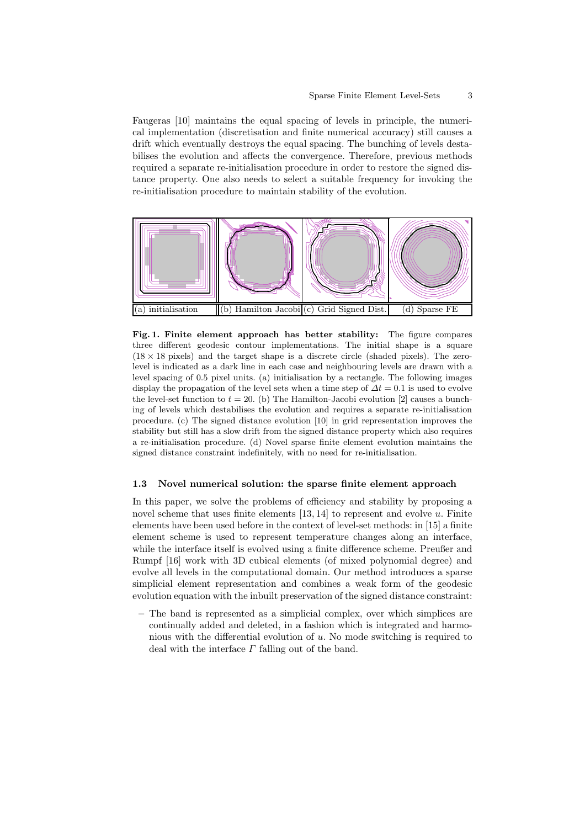Faugeras [10] maintains the equal spacing of levels in principle, the numerical implementation (discretisation and finite numerical accuracy) still causes a drift which eventually destroys the equal spacing. The bunching of levels destabilises the evolution and affects the convergence. Therefore, previous methods required a separate re-initialisation procedure in order to restore the signed distance property. One also needs to select a suitable frequency for invoking the re-initialisation procedure to maintain stability of the evolution.



Fig. 1. Finite element approach has better stability: The figure compares three different geodesic contour implementations. The initial shape is a square  $(18 \times 18 \text{ pixels})$  and the target shape is a discrete circle (shaded pixels). The zerolevel is indicated as a dark line in each case and neighbouring levels are drawn with a level spacing of 0.5 pixel units. (a) initialisation by a rectangle. The following images display the propagation of the level sets when a time step of  $\Delta t = 0.1$  is used to evolve the level-set function to  $t = 20$ . (b) The Hamilton-Jacobi evolution [2] causes a bunching of levels which destabilises the evolution and requires a separate re-initialisation procedure. (c) The signed distance evolution [10] in grid representation improves the stability but still has a slow drift from the signed distance property which also requires a re-initialisation procedure. (d) Novel sparse finite element evolution maintains the signed distance constraint indefinitely, with no need for re-initialisation.

### 1.3 Novel numerical solution: the sparse finite element approach

In this paper, we solve the problems of efficiency and stability by proposing a novel scheme that uses finite elements  $[13, 14]$  to represent and evolve u. Finite elements have been used before in the context of level-set methods: in [15] a finite element scheme is used to represent temperature changes along an interface, while the interface itself is evolved using a finite difference scheme. Preußer and Rumpf [16] work with 3D cubical elements (of mixed polynomial degree) and evolve all levels in the computational domain. Our method introduces a sparse simplicial element representation and combines a weak form of the geodesic evolution equation with the inbuilt preservation of the signed distance constraint:

– The band is represented as a simplicial complex, over which simplices are continually added and deleted, in a fashion which is integrated and harmonious with the differential evolution of u. No mode switching is required to deal with the interface  $\Gamma$  falling out of the band.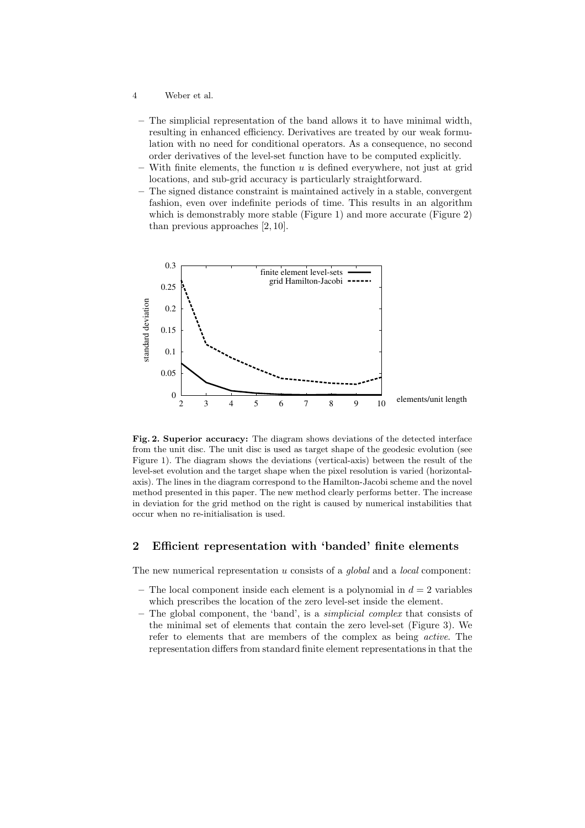- 4 Weber et al.
	- The simplicial representation of the band allows it to have minimal width, resulting in enhanced efficiency. Derivatives are treated by our weak formulation with no need for conditional operators. As a consequence, no second order derivatives of the level-set function have to be computed explicitly.
	- $-$  With finite elements, the function u is defined everywhere, not just at grid locations, and sub-grid accuracy is particularly straightforward.
	- The signed distance constraint is maintained actively in a stable, convergent fashion, even over indefinite periods of time. This results in an algorithm which is demonstrably more stable (Figure 1) and more accurate (Figure 2) than previous approaches [2, 10].



Fig. 2. Superior accuracy: The diagram shows deviations of the detected interface from the unit disc. The unit disc is used as target shape of the geodesic evolution (see Figure 1). The diagram shows the deviations (vertical-axis) between the result of the level-set evolution and the target shape when the pixel resolution is varied (horizontalaxis). The lines in the diagram correspond to the Hamilton-Jacobi scheme and the novel method presented in this paper. The new method clearly performs better. The increase in deviation for the grid method on the right is caused by numerical instabilities that occur when no re-initialisation is used.

# 2 Efficient representation with 'banded' finite elements

The new numerical representation  $u$  consists of a *global* and a *local* component:

- The local component inside each element is a polynomial in  $d = 2$  variables which prescribes the location of the zero level-set inside the element.
- The global component, the 'band', is a simplicial complex that consists of the minimal set of elements that contain the zero level-set (Figure 3). We refer to elements that are members of the complex as being active. The representation differs from standard finite element representationsin that the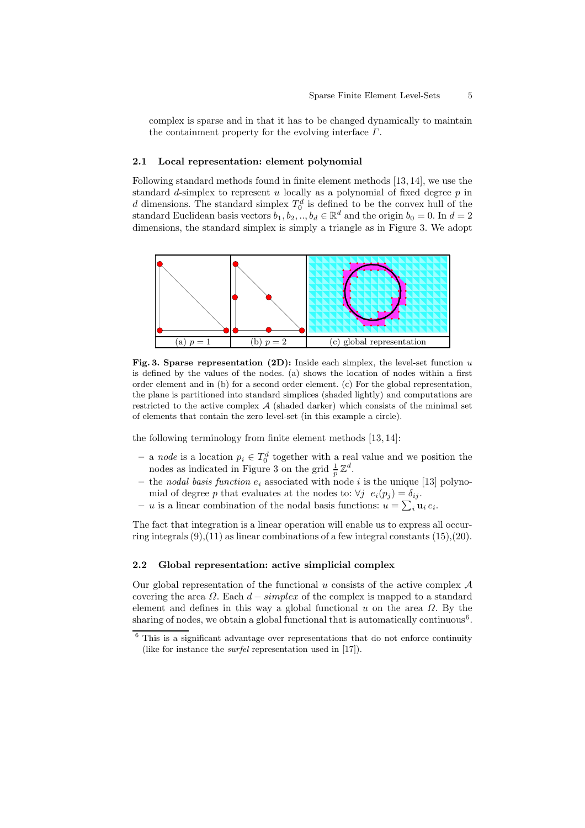complex is sparse and in that it has to be changed dynamically to maintain the containment property for the evolving interface  $\Gamma$ .

### 2.1 Local representation: element polynomial

Following standard methods found in finite element methods [13, 14], we use the standard d-simplex to represent u locally as a polynomial of fixed degree  $p$  in d dimensions. The standard simplex  $T_0^d$  is defined to be the convex hull of the standard Euclidean basis vectors  $b_1, b_2, ..., b_d \in \mathbb{R}^d$  and the origin  $b_0 = 0$ . In  $d = 2$ dimensions, the standard simplex is simply a triangle as in Figure 3. We adopt



Fig. 3. Sparse representation (2D): Inside each simplex, the level-set function  $u$ is defined by the values of the nodes. (a) shows the location of nodes within a first order element and in (b) for a second order element. (c) For the global representation, the plane is partitioned into standard simplices (shaded lightly) and computations are restricted to the active complex  $A$  (shaded darker) which consists of the minimal set of elements that contain the zero level-set (in this example a circle).

the following terminology from finite element methods [13, 14]:

- a node is a location  $p_i \n∈ T_0^d$  together with a real value and we position the nodes as indicated in Figure 3 on the grid  $\frac{1}{p}\mathbb{Z}^d$ .
- the nodal basis function  $e_i$  associated with node i is the unique [13] polynomial of degree p that evaluates at the nodes to:  $\forall j \ e_i(p_j) = \delta_{ij}$ .
- u is a linear combination of the nodal basis functions:  $u = \sum_i \mathbf{u}_i e_i$ .

The fact that integration is a linear operation will enable us to express all occurring integrals  $(9)$ , $(11)$  as linear combinations of a few integral constants  $(15)$ , $(20)$ .

### 2.2 Global representation: active simplicial complex

Our global representation of the functional  $u$  consists of the active complex  $\mathcal A$ covering the area  $\Omega$ . Each  $d$  – simplex of the complex is mapped to a standard element and defines in this way a global functional  $u$  on the area  $\Omega$ . By the sharing of nodes, we obtain a global functional that is automatically continuous<sup>6</sup>.

 $6$  This is a significant advantage over representations that do not enforce continuity (like for instance the surfel representation used in [17]).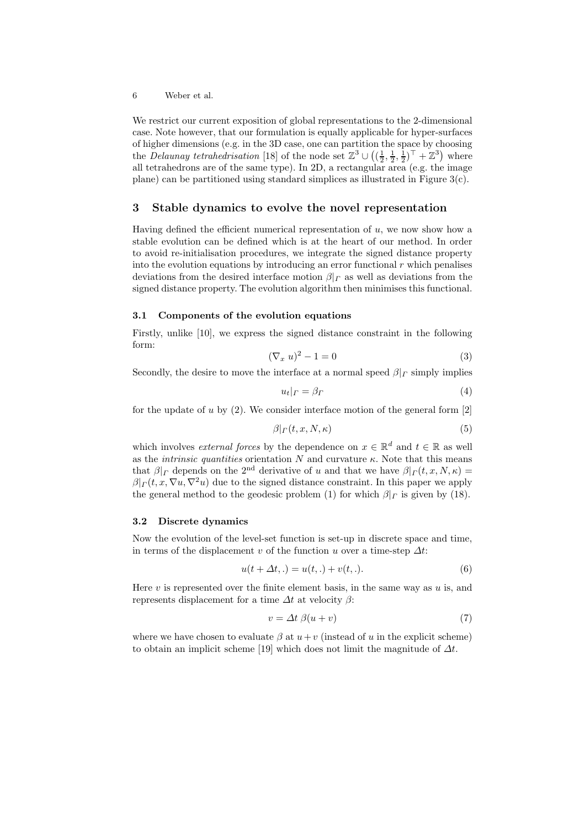We restrict our current exposition of global representations to the 2-dimensional case. Note however, that our formulation is equally applicable for hyper-surfaces of higher dimensions (e.g. in the 3D case, one can partition the space by choosing the *Delaunay tetrahedrisation* [18] of the node set  $\mathbb{Z}^3 \cup \left( (\frac{1}{2}, \frac{1}{2}, \frac{1}{2})^{\top} + \mathbb{Z}^3 \right)$  where all tetrahedrons are of the same type). In 2D, a rectangular area (e.g. the image plane) can be partitioned using standard simplices as illustrated in Figure  $3(c)$ .

# 3 Stable dynamics to evolve the novel representation

Having defined the efficient numerical representation of  $u$ , we now show how a stable evolution can be defined which is at the heart of our method. In order to avoid re-initialisation procedures, we integrate the signed distance property into the evolution equations by introducing an error functional  $r$  which penalises deviations from the desired interface motion  $\beta|_{\Gamma}$  as well as deviations from the signed distance property. The evolution algorithm then minimises this functional.

### 3.1 Components of the evolution equations

Firstly, unlike [10], we express the signed distance constraint in the following form:

$$
(\nabla_x u)^2 - 1 = 0 \tag{3}
$$

Secondly, the desire to move the interface at a normal speed  $\beta|_r$  simply implies

$$
u_t|_{\Gamma} = \beta_{\Gamma} \tag{4}
$$

for the update of u by  $(2)$ . We consider interface motion of the general form  $[2]$ 

$$
\beta|_{\Gamma}(t, x, N, \kappa) \tag{5}
$$

which involves *external forces* by the dependence on  $x \in \mathbb{R}^d$  and  $t \in \mathbb{R}$  as well as the *intrinsic quantities* orientation N and curvature  $\kappa$ . Note that this means that  $\beta|_{\Gamma}$  depends on the 2<sup>nd</sup> derivative of u and that we have  $\beta|_{\Gamma}(t, x, N, \kappa) =$  $\beta|_{\Gamma}(t, x, \nabla u, \nabla^2 u)$  due to the signed distance constraint. In this paper we apply the general method to the geodesic problem (1) for which  $\beta|_{\Gamma}$  is given by (18).

#### 3.2 Discrete dynamics

Now the evolution of the level-set function is set-up in discrete space and time, in terms of the displacement v of the function u over a time-step  $\Delta t$ :

$$
u(t + \Delta t, .) = u(t, .) + v(t, .). \tag{6}
$$

Here  $v$  is represented over the finite element basis, in the same way as  $u$  is, and represents displacement for a time  $\Delta t$  at velocity  $\beta$ :

$$
v = \Delta t \ \beta(u+v) \tag{7}
$$

where we have chosen to evaluate  $\beta$  at  $u+v$  (instead of u in the explicit scheme) to obtain an implicit scheme [19] which does not limit the magnitude of  $\Delta t$ .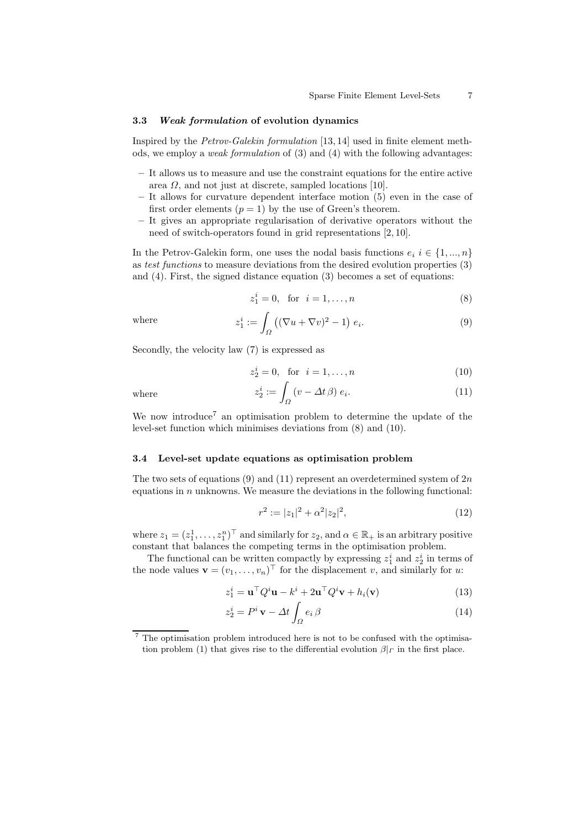#### 3.3 Weak formulation of evolution dynamics

Inspired by the Petrov-Galekin formulation [13, 14] used in finite element methods, we employ a *weak formulation* of  $(3)$  and  $(4)$  with the following advantages:

- It allows us to measure and use the constraint equations for the entire active area  $\Omega$ , and not just at discrete, sampled locations [10].
- It allows for curvature dependent interface motion (5) even in the case of first order elements  $(p = 1)$  by the use of Green's theorem.
- It gives an appropriate regularisation of derivative operators without the need of switch-operators found in grid representations [2, 10].

In the Petrov-Galekin form, one uses the nodal basis functions  $e_i$  i  $\in \{1, ..., n\}$ as test functions to measure deviations from the desired evolution properties (3) and (4). First, the signed distance equation (3) becomes a set of equations:

$$
z_1^i = 0, \text{ for } i = 1, ..., n
$$
 (8)

where

where

$$
z_1^i := \int_{\Omega} \left( (\nabla u + \nabla v)^2 - 1 \right) e_i.
$$
 (9)

Secondly, the velocity law (7) is expressed as

$$
z_2^i = 0, \text{ for } i = 1, \dots, n
$$
 (10)

$$
z_2^i := \int_{\Omega} \left( v - \Delta t \beta \right) e_i. \tag{11}
$$

We now introduce<sup>7</sup> an optimisation problem to determine the update of the level-set function which minimises deviations from (8) and (10).

#### 3.4 Level-set update equations as optimisation problem

The two sets of equations (9) and (11) represent an overdetermined system of  $2n$ equations in  $n$  unknowns. We measure the deviations in the following functional:

$$
r^2 := |z_1|^2 + \alpha^2 |z_2|^2,\tag{12}
$$

where  $z_1 = (z_1^1, \ldots, z_1^n)^\top$  and similarly for  $z_2$ , and  $\alpha \in \mathbb{R}_+$  is an arbitrary positive constant that balances the competing terms in the optimisation problem.

The functional can be written compactly by expressing  $z_1^i$  and  $z_2^i$  in terms of the node values  $\mathbf{v} = (v_1, \dots, v_n)^\top$  for the displacement v, and similarly for u:

$$
z_1^i = \mathbf{u}^\top Q^i \mathbf{u} - k^i + 2\mathbf{u}^\top Q^i \mathbf{v} + h_i(\mathbf{v})
$$
\n(13)

$$
z_2^i = P^i \mathbf{v} - \Delta t \int_{\Omega} e_i \beta \tag{14}
$$

The optimisation problem introduced here is not to be confused with the optimisation problem (1) that gives rise to the differential evolution  $\beta|_{\Gamma}$  in the first place.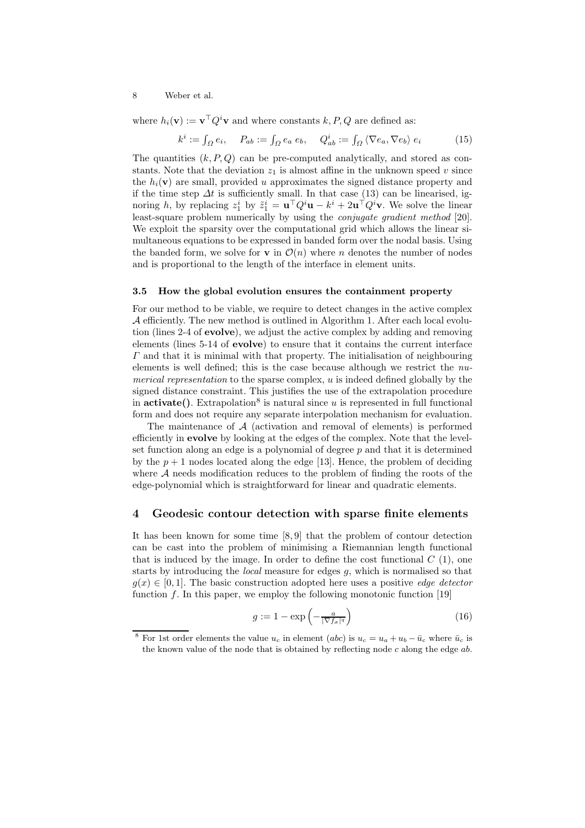where  $h_i(\mathbf{v}) := \mathbf{v}^\top Q^i \mathbf{v}$  and where constants  $k, P, Q$  are defined as:

$$
k^{i} := \int_{\Omega} e_{i}, \quad P_{ab} := \int_{\Omega} e_{a} e_{b}, \quad Q_{ab}^{i} := \int_{\Omega} \langle \nabla e_{a}, \nabla e_{b} \rangle e_{i} \tag{15}
$$

The quantities  $(k, P, Q)$  can be pre-computed analytically, and stored as constants. Note that the deviation  $z_1$  is almost affine in the unknown speed v since the  $h_i(\mathbf{v})$  are small, provided u approximates the signed distance property and if the time step  $\Delta t$  is sufficiently small. In that case (13) can be linearised, ignoring h, by replacing  $z_1^i$  by  $\tilde{z}_1^i = \mathbf{u}^\top Q^i \mathbf{u} - k^i + 2\mathbf{u}^\top Q^i \mathbf{v}$ . We solve the linear least-square problem numerically by using the *conjugate gradient method* [20]. We exploit the sparsity over the computational grid which allows the linear simultaneous equations to be expressed in banded form over the nodal basis. Using the banded form, we solve for **v** in  $\mathcal{O}(n)$  where *n* denotes the number of nodes and is proportional to the length of the interface in element units.

#### 3.5 How the global evolution ensures the containment property

For our method to be viable, we require to detect changes in the active complex A efficiently. The new method is outlined in Algorithm 1. After each local evolution (lines 2-4 of evolve), we adjust the active complex by adding and removing elements (lines 5-14 of evolve) to ensure that it contains the current interface  $\Gamma$  and that it is minimal with that property. The initialisation of neighbouring elements is well defined; this is the case because although we restrict the numerical representation to the sparse complex,  $u$  is indeed defined globally by the signed distance constraint. This justifies the use of the extrapolation procedure in  $\text{active}($ ). Extrapolation<sup>8</sup> is natural since u is represented in full functional form and does not require any separate interpolation mechanism for evaluation.

The maintenance of  $A$  (activation and removal of elements) is performed efficiently in evolve by looking at the edges of the complex. Note that the levelset function along an edge is a polynomial of degree  $p$  and that it is determined by the  $p + 1$  nodes located along the edge [13]. Hence, the problem of deciding where  $A$  needs modification reduces to the problem of finding the roots of the edge-polynomial which is straightforward for linear and quadratic elements.

### 4 Geodesic contour detection with sparse finite elements

It has been known for some time [8, 9] that the problem of contour detection can be cast into the problem of minimising a Riemannian length functional that is induced by the image. In order to define the cost functional  $C(1)$ , one starts by introducing the *local* measure for edges  $q$ , which is normalised so that  $g(x) \in [0, 1]$ . The basic construction adopted here uses a positive *edge detector* function  $f$ . In this paper, we employ the following monotonic function [19]

$$
g := 1 - \exp\left(-\frac{a}{|\nabla f_{\sigma}|^q}\right) \tag{16}
$$

<sup>&</sup>lt;sup>8</sup> For 1st order elements the value  $u_c$  in element (abc) is  $u_c = u_a + u_b - \bar{u}_c$  where  $\bar{u}_c$  is the known value of the node that is obtained by reflecting node  $c$  along the edge  $ab$ .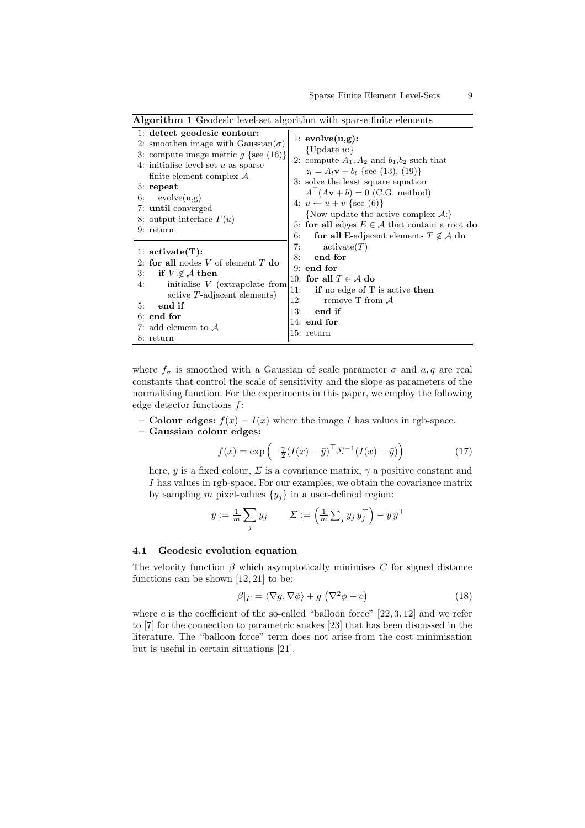| <b>Algorithm 1</b> Geodesic level-set algorithm with sparse finite elements                                                                                                                                                                                                                                    |                                                                                                                                                                                                                                                                                                                                                                                                                                        |
|----------------------------------------------------------------------------------------------------------------------------------------------------------------------------------------------------------------------------------------------------------------------------------------------------------------|----------------------------------------------------------------------------------------------------------------------------------------------------------------------------------------------------------------------------------------------------------------------------------------------------------------------------------------------------------------------------------------------------------------------------------------|
| 1: detect geodesic contour:<br>2: smoothen image with Gaussian( $\sigma$ )<br>3: compute image metric $q$ {see (16)}<br>4: initialise level-set $u$ as sparse<br>finite element complex $\mathcal A$<br>$5:$ repeat<br>evolve(u,g)<br>6:<br>7: until converged<br>8: output interface $\Gamma(u)$<br>9: return | 1: $evolve(u,g)$ :<br>{Update $u$ :}<br>2: compute $A_1, A_2$ and $b_1, b_2$ such that<br>$z_l = A_l \mathbf{v} + b_l$ {see (13), (19)}<br>3: solve the least square equation<br>$A^{\top}(A\mathbf{v}+b)=0$ (C.G. method)<br>4: $u \leftarrow u + v$ {see (6)}<br>{Now update the active complex $A$ :}<br>5: for all edges $E \in \mathcal{A}$ that contain a root do<br>6:<br>for all E-adjacent elements $T \notin \mathcal{A}$ do |
| 1: $active(T)$ :<br>2: for all nodes V of element T do<br>if $V \notin \mathcal{A}$ then<br>3:<br>initialise $V$ (extrapolate from<br>4:<br>active T-adjacent elements)<br>end if<br>5:<br>$6:$ end for<br>7: add element to $\mathcal A$<br>8: return                                                         | 7:<br>active(T)<br>end for<br>8:<br>$9:$ end for<br>10: for all $T \in \mathcal{A}$ do<br>11:<br>if no edge of $T$ is active then<br>12:<br>remove $T$ from $A$<br>13:<br>end if<br>$14:$ end for<br>15: return                                                                                                                                                                                                                        |

where  $f_{\sigma}$  is smoothed with a Gaussian of scale parameter  $\sigma$  and  $a, q$  are real constants that control the scale of sensitivity and the slope as parameters of the normalising function. For the experiments in this paper, we employ the following edge detector functions f:

- **Colour edges:**  $f(x) = I(x)$  where the image I has values in rgb-space.
- Gaussian colour edges:

$$
f(x) = \exp\left(-\frac{\gamma}{2}(I(x) - \bar{y})^\top \Sigma^{-1}(I(x) - \bar{y})\right)
$$
 (17)

here,  $\bar{y}$  is a fixed colour,  $\Sigma$  is a covariance matrix,  $\gamma$  a positive constant and I has values in rgb-space. For our examples, we obtain the covariance matrix by sampling m pixel-values  $\{y_j\}$  in a user-defined region:

$$
\bar{y} := \tfrac{1}{m} \sum_j y_j \qquad \varSigma := \left( \tfrac{1}{m} \sum_j y_j y_j^{\top} \right) - \bar{y} \, \bar{y}^{\top}
$$

#### 4.1 Geodesic evolution equation

The velocity function  $\beta$  which asymptotically minimises C for signed distance functions can be shown [12, 21] to be:

$$
\beta|_{\Gamma} = \langle \nabla g, \nabla \phi \rangle + g \left( \nabla^2 \phi + c \right) \tag{18}
$$

where  $c$  is the coefficient of the so-called "balloon force"  $[22, 3, 12]$  and we refer to [7] for the connection to parametric snakes [23] that has been discussed in the literature. The "balloon force" term does not arise from the cost minimisation but is useful in certain situations [21].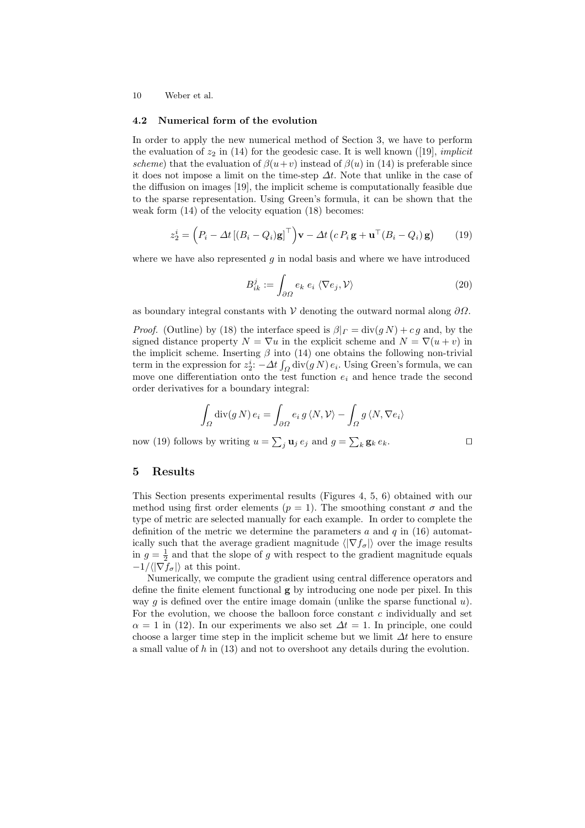#### 4.2 Numerical form of the evolution

In order to apply the new numerical method of Section 3, we have to perform the evaluation of  $z_2$  in (14) for the geodesic case. It is well known ([19], *implicit* scheme) that the evaluation of  $\beta(u+v)$  instead of  $\beta(u)$  in (14) is preferable since it does not impose a limit on the time-step  $\Delta t$ . Note that unlike in the case of the diffusion on images [19], the implicit scheme is computationally feasible due to the sparse representation. Using Green's formula, it can be shown that the weak form (14) of the velocity equation (18) becomes:

$$
z_2^i = \left(P_i - \Delta t \left[ (B_i - Q_i) \mathbf{g} \right]^\top \right) \mathbf{v} - \Delta t \left( c \, P_i \, \mathbf{g} + \mathbf{u}^\top (B_i - Q_i) \, \mathbf{g} \right) \tag{19}
$$

where we have also represented  $q$  in nodal basis and where we have introduced

$$
B_{ik}^{j} := \int_{\partial\Omega} e_k \; e_i \; \langle \nabla e_j, \mathcal{V} \rangle \tag{20}
$$

as boundary integral constants with  $\mathcal V$  denoting the outward normal along  $\partial\Omega$ .

*Proof.* (Outline) by (18) the interface speed is  $\beta|_{\Gamma} = \text{div}(q N) + c q$  and, by the signed distance property  $N = \nabla u$  in the explicit scheme and  $N = \nabla (u + v)$  in the implicit scheme. Inserting  $\beta$  into (14) one obtains the following non-trivial term in the expression for  $z_2^i$ :  $-\Delta t \int_{\Omega} \text{div}(g N) e_i$ . Using Green's formula, we can move one differentiation onto the test function  $e_i$  and hence trade the second order derivatives for a boundary integral:

$$
\int_{\Omega} \text{div}(g N) e_i = \int_{\partial \Omega} e_i g \langle N, V \rangle - \int_{\Omega} g \langle N, \nabla e_i \rangle
$$

now (19) follows by writing  $u = \sum_j \mathbf{u}_j e_j$  and  $g = \sum_k \mathbf{g}_k e_k$ .

# 5 Results

This Section presents experimental results (Figures 4, 5, 6) obtained with our method using first order elements ( $p = 1$ ). The smoothing constant  $\sigma$  and the type of metric are selected manually for each example. In order to complete the definition of the metric we determine the parameters  $a$  and  $q$  in (16) automatically such that the average gradient magnitude  $\langle |\nabla f_{\sigma}|\rangle$  over the image results in  $g = \frac{1}{2}$  and that the slope of g with respect to the gradient magnitude equals  $-1/\langle |\nabla f_{\sigma}|\rangle$  at this point.

Numerically, we compute the gradient using central difference operators and define the finite element functional  $g$  by introducing one node per pixel. In this way g is defined over the entire image domain (unlike the sparse functional  $u$ ). For the evolution, we choose the balloon force constant  $c$  individually and set  $\alpha = 1$  in (12). In our experiments we also set  $\Delta t = 1$ . In principle, one could choose a larger time step in the implicit scheme but we limit  $\Delta t$  here to ensure a small value of  $h$  in  $(13)$  and not to overshoot any details during the evolution.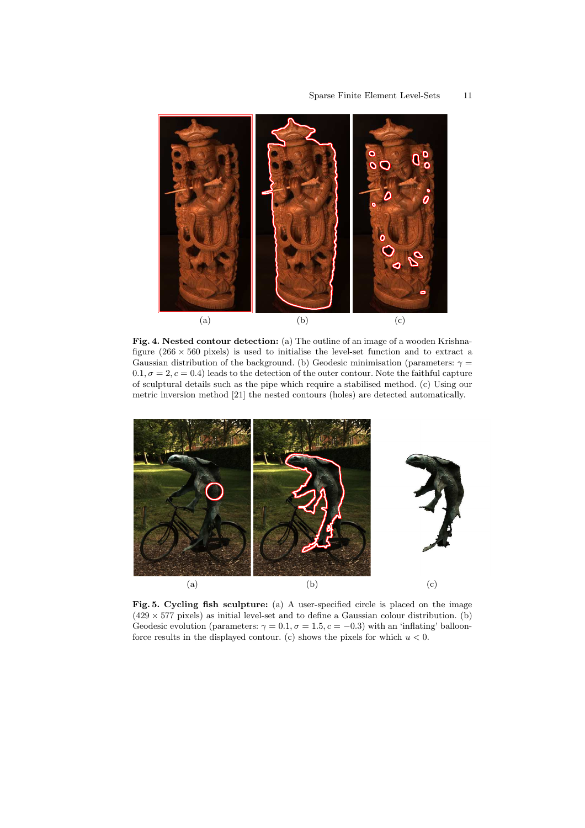

Fig. 4. Nested contour detection: (a) The outline of an image of a wooden Krishnafigure  $(266 \times 560)$  pixels) is used to initialise the level-set function and to extract a Gaussian distribution of the background. (b) Geodesic minimisation (parameters:  $\gamma =$  $0.1, \sigma = 2, c = 0.4$ ) leads to the detection of the outer contour. Note the faithful capture of sculptural details such as the pipe which require a stabilised method. (c) Using our metric inversion method [21] the nested contours (holes) are detected automatically.



Fig. 5. Cycling fish sculpture: (a) A user-specified circle is placed on the image  $(429 \times 577 \text{ pixels})$  as initial level-set and to define a Gaussian colour distribution. (b) Geodesic evolution (parameters:  $\gamma = 0.1$ ,  $\sigma = 1.5$ ,  $c = -0.3$ ) with an 'inflating' balloonforce results in the displayed contour. (c) shows the pixels for which  $u < 0$ .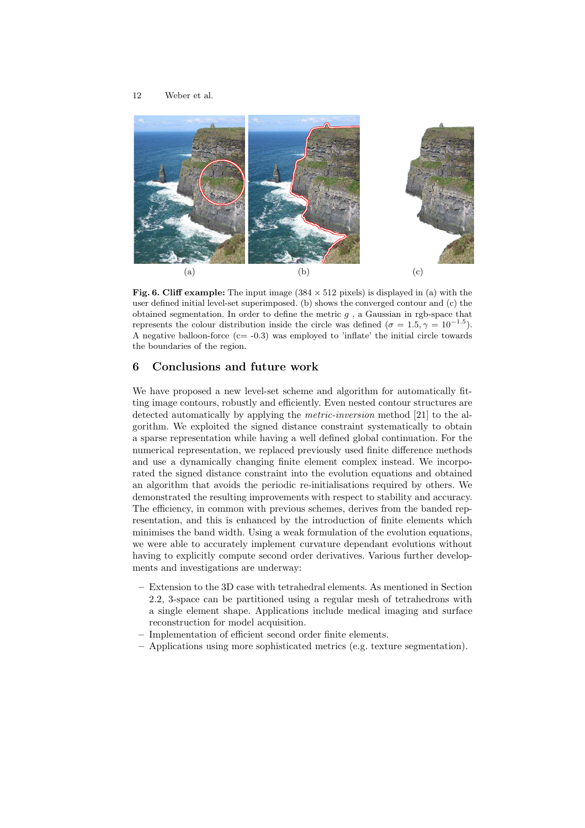

Fig. 6. Cliff example: The input image  $(384 \times 512)$  pixels) is displayed in (a) with the user defined initial level-set superimposed. (b) shows the converged contour and (c) the obtained segmentation. In order to define the metric  $g$ , a Gaussian in rgb-space that represents the colour distribution inside the circle was defined  $(\sigma = 1.5, \gamma = 10^{-1.5})$ . A negative balloon-force  $(c=-0.3)$  was employed to 'inflate' the initial circle towards the boundaries of the region.

# 6 Conclusions and future work

We have proposed a new level-set scheme and algorithm for automatically fitting image contours, robustly and efficiently. Even nested contour structures are detected automatically by applying the metric-inversion method [21] to the algorithm. We exploited the signed distance constraint systematically to obtain a sparse representation while having a well defined global continuation. For the numerical representation, we replaced previously used finite difference methods and use a dynamically changing finite element complex instead. We incorporated the signed distance constraint into the evolution equations and obtained an algorithm that avoids the periodic re-initialisations required by others. We demonstrated the resulting improvements with respect to stability and accuracy. The efficiency, in common with previous schemes, derives from the banded representation, and this is enhanced by the introduction of finite elements which minimises the band width. Using a weak formulation of the evolution equations, we were able to accurately implement curvature dependant evolutions without having to explicitly compute second order derivatives. Various further developments and investigations are underway:

- Extension to the 3D case with tetrahedral elements. As mentioned in Section 2.2, 3-space can be partitioned using a regular mesh of tetrahedrons with a single element shape. Applications include medical imaging and surface reconstruction for model acquisition.
- Implementation of efficient second order finite elements.
- Applications using more sophisticated metrics (e.g. texture segmentation).